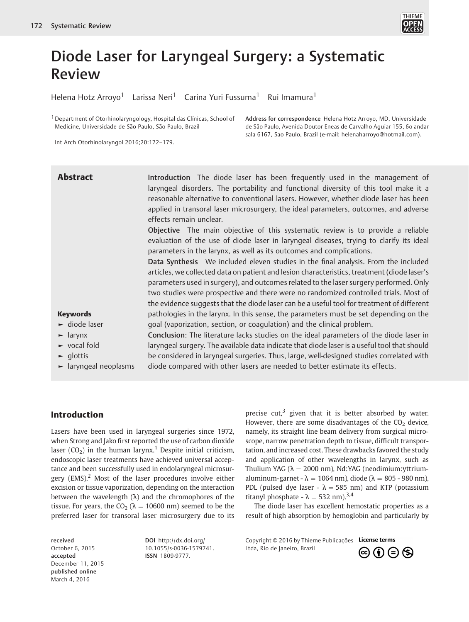

# Diode Laser for Laryngeal Surgery: a Systematic Review

Helena Hotz Arroyo<sup>1</sup> Larissa Neri<sup>1</sup> Carina Yuri Fussuma<sup>1</sup> Rui Imamura<sup>1</sup>

<sup>1</sup> Department of Otorhinolaryngology, Hospital das Clínicas, School of Medicine, Universidade de São Paulo, São Paulo, Brazil

Address for correspondence Helena Hotz Arroyo, MD, Universidade de São Paulo, Avenida Doutor Eneas de Carvalho Aguiar 155, 6o andar sala 6167, Sao Paulo, Brazil (e-mail: helenaharroyo@hotmail.com).

Int Arch Otorhinolaryngol 2016;20:172–179.

Abstract Introduction The diode laser has been frequently used in the management of laryngeal disorders. The portability and functional diversity of this tool make it a reasonable alternative to conventional lasers. However, whether diode laser has been applied in transoral laser microsurgery, the ideal parameters, outcomes, and adverse effects remain unclear.

> Objective The main objective of this systematic review is to provide a reliable evaluation of the use of diode laser in laryngeal diseases, trying to clarify its ideal parameters in the larynx, as well as its outcomes and complications.

> Data Synthesis We included eleven studies in the final analysis. From the included articles, we collected data on patient and lesion characteristics, treatment (diode laser's parameters used in surgery), and outcomes related to the laser surgery performed. Only two studies were prospective and there were no randomized controlled trials. Most of the evidence suggests that the diode laser can be a useful tool for treatment of different pathologies in the larynx. In this sense, the parameters must be set depending on the goal (vaporization, section, or coagulation) and the clinical problem.

- Keywords ► diode laser
- ► larynx
- ► vocal fold
- $\blacktriangleright$  glottis
- ► laryngeal neoplasms

Conclusion: The literature lacks studies on the ideal parameters of the diode laser in laryngeal surgery. The available data indicate that diode laser is a useful tool that should be considered in laryngeal surgeries. Thus, large, well-designed studies correlated with diode compared with other lasers are needed to better estimate its effects.

## Introduction

Lasers have been used in laryngeal surgeries since 1972, when Strong and Jako first reported the use of carbon dioxide laser ( $CO<sub>2</sub>$ ) in the human larynx.<sup>1</sup> Despite initial criticism, endoscopic laser treatments have achieved universal acceptance and been successfully used in endolaryngeal microsurgery  $(EMS)^2$  Most of the laser procedures involve either excision or tissue vaporization, depending on the interaction between the wavelength  $(\lambda)$  and the chromophores of the tissue. For years, the CO<sub>2</sub> ( $\lambda = 10600$  nm) seemed to be the preferred laser for transoral laser microsurgery due to its

received October 6, 2015 accepted December 11, 2015 published online March 4, 2016

DOI http://dx.doi.org/ 10.1055/s-0036-1579741. ISSN 1809-9777.

precise cut,<sup>3</sup> given that it is better absorbed by water. However, there are some disadvantages of the  $CO<sub>2</sub>$  device, namely, its straight line beam delivery from surgical microscope, narrow penetration depth to tissue, difficult transportation, and increased cost. These drawbacks favored the study and application of other wavelengths in larynx, such as Thulium YAG ( $\lambda = 2000$  nm), Nd:YAG (neodimium: vttriumaluminum-garnet -  $\lambda = 1064$  nm), diode ( $\lambda = 805$  - 980 nm), PDL (pulsed dye laser -  $\lambda = 585$  nm) and KTP (potassium titanyl phosphate -  $\lambda = 532$  nm).<sup>3,4</sup>

The diode laser has excellent hemostatic properties as a result of high absorption by hemoglobin and particularly by

Copyright © 2016 by Thieme Publicações License terms Ltda, Rio de Janeiro, Brazil

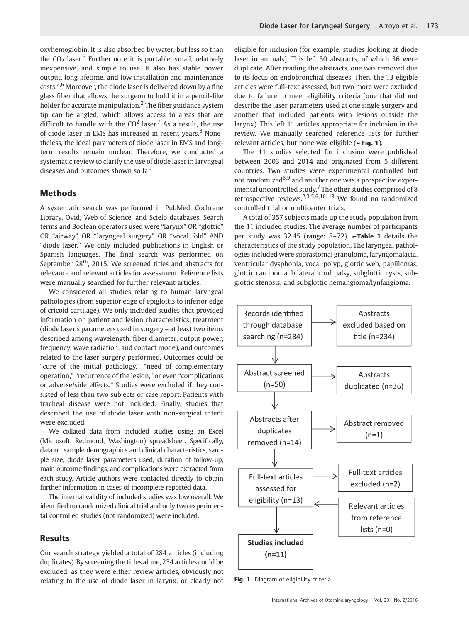oxyhemoglobin. It is also absorbed by water, but less so than the  $CO<sub>2</sub>$  laser.<sup>5</sup> Furthermore it is portable, small, relatively inexpensive, and simple to use. It also has stable power output, long lifetime, and low installation and maintenance costs.2,6 Moreover, the diode laser is delivered down by a fine glass fiber that allows the surgeon to hold it in a pencil-like holder for accurate manipulation.<sup>2</sup> The fiber guidance system tip can be angled, which allows access to areas that are difficult to handle with the  $CO<sup>2</sup>$  laser.<sup>7</sup> As a result, the use of diode laser in EMS has increased in recent years.<sup>8</sup> Nonetheless, the ideal parameters of diode laser in EMS and longterm results remain unclear. Therefore, we conducted a systematic review to clarify the use of diode laser in laryngeal diseases and outcomes shown so far.

#### **Methods**

A systematic search was performed in PubMed, Cochrane Library, Ovid, Web of Science, and Scielo databases. Search terms and Boolean operators used were "larynx" OR "glottic" OR "airway" OR "laryngeal surgery" OR "vocal fold" AND "diode laser." We only included publications in English or Spanish languages. The final search was performed on September 28<sup>th</sup>, 2015. We screened titles and abstracts for relevance and relevant articles for assessment. Reference lists were manually searched for further relevant articles.

We considered all studies relating to human laryngeal pathologies (from superior edge of epiglottis to inferior edge of cricoid cartilage). We only included studies that provided information on patient and lesion characteristics, treatment (diode laser's parameters used in surgery – at least two items described among wavelength, fiber diameter, output power, frequency, wave radiation, and contact mode), and outcomes related to the laser surgery performed. Outcomes could be "cure of the initial pathology," "need of complementary operation," "recurrence of the lesion," or even "complications or adverse/side effects." Studies were excluded if they consisted of less than two subjects or case report. Patients with tracheal disease were not included. Finally, studies that described the use of diode laser with non-surgical intent were excluded.

We collated data from included studies using an Excel (Microsoft, Redmond, Washington) spreadsheet. Specifically, data on sample demographics and clinical characteristics, sample size, diode laser parameters used, duration of follow-up, main outcome findings, and complications were extracted from each study. Article authors were contacted directly to obtain further information in cases of incomplete reported data.

The internal validity of included studies was low overall. We identified no randomized clinical trial and only two experimental controlled studies (not randomized) were included.

#### Results

Our search strategy yielded a total of 284 articles (including duplicates). By screening the titles alone, 234 articles could be excluded, as they were either review articles, obviously not relating to the use of diode laser in larynx, or clearly not

eligible for inclusion (for example, studies looking at diode laser in animals). This left 50 abstracts, of which 36 were duplicate. After reading the abstracts, one was removed due to its focus on endobronchial diseases. Then, the 13 eligible articles were full-text assessed, but two more were excluded due to failure to meet eligibility criteria (one that did not describe the laser parameters used at one single surgery and another that included patients with lesions outside the larynx). This left 11 articles appropriate for inclusion in the review. We manually searched reference lists for further relevant articles, but none was eligible (►Fig. 1).

The 11 studies selected for inclusion were published between 2003 and 2014 and originated from 5 different countries. Two studies were experimental controlled but not randomized<sup>8,9</sup> and another one was a prospective experimental uncontrolled study.<sup>7</sup> The other studies comprised of 8 retrospective reviews.<sup>2,3,5,6,10–13</sup> We found no randomized controlled trial or multicenter trials.

A total of 357 subjects made up the study population from the 11 included studies. The average number of participants per study was 32.45 (range: 8–72). ►Table 1 details the characteristics of the study population. The laryngeal pathologies included were suprastomal granuloma, laryngomalacia, ventricular dysphonia, vocal polyp, glottic web, papillomas, glottic carcinoma, bilateral cord palsy, subglottic cysts, subglottic stenosis, and subglottic hemangioma/lynfangioma.



Fig. 1 Diagram of eligibility criteria.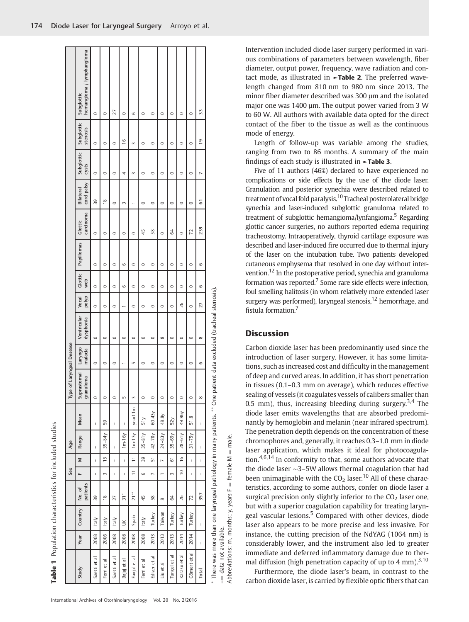|              |      |              |                    | Sex                      |                                                                                                                                                                                                                                                                                                                                                                                                                | Age                      |                          | Type of Laryngeal Desease                                                                                        |                    |                          |                |                |            |                      |                         |                     |                        |                                         |
|--------------|------|--------------|--------------------|--------------------------|----------------------------------------------------------------------------------------------------------------------------------------------------------------------------------------------------------------------------------------------------------------------------------------------------------------------------------------------------------------------------------------------------------------|--------------------------|--------------------------|------------------------------------------------------------------------------------------------------------------|--------------------|--------------------------|----------------|----------------|------------|----------------------|-------------------------|---------------------|------------------------|-----------------------------------------|
| Study        | Year | Country      | patients<br>No. of | щ                        | Σ                                                                                                                                                                                                                                                                                                                                                                                                              | Range                    | Mean                     | Suprastomal<br>granuloma                                                                                         | Laryngo<br>malacia | Ventricular<br>dysphonia | polyp<br>Vocal | Glottic<br>web | Papillomas | carcinoma<br>Glottic | cord palsy<br>Bilateral | Subglottic<br>cysts | Subglottic<br>stenosis | hemangioma / lymphangioma<br>Subglottic |
| Saetti et al | 2003 | Italy        | 39                 | $\overline{\phantom{a}}$ | $\begin{array}{c} \rule{0pt}{2ex} \rule{0pt}{2ex} \rule{0pt}{2ex} \rule{0pt}{2ex} \rule{0pt}{2ex} \rule{0pt}{2ex} \rule{0pt}{2ex} \rule{0pt}{2ex} \rule{0pt}{2ex} \rule{0pt}{2ex} \rule{0pt}{2ex} \rule{0pt}{2ex} \rule{0pt}{2ex} \rule{0pt}{2ex} \rule{0pt}{2ex} \rule{0pt}{2ex} \rule{0pt}{2ex} \rule{0pt}{2ex} \rule{0pt}{2ex} \rule{0pt}{2ex} \rule{0pt}{2ex} \rule{0pt}{2ex} \rule{0pt}{2ex} \rule{0pt}{$ | $\overline{\phantom{a}}$ | $\overline{\phantom{a}}$ | $\circ$                                                                                                          | $\circ$            | $\circ$                  | $\circ$        | $\circ$        | $\circ$    | $\circ$              | 39                      | $\circ$             | $\circ$                | $\circ$                                 |
| Ferri et al  | 2006 | Italy        | $\frac{8}{2}$      | $\sim$                   | $\frac{5}{1}$                                                                                                                                                                                                                                                                                                                                                                                                  | $35 - 84y$               | 59                       | $\circ$                                                                                                          | $\circ$            | $\circ$                  | $\circ$        | $\circ$        | $\circ$    | $\circ$              | $\frac{8}{2}$           | $\circ$             | $\circ$                | 0                                       |
| Saetti et al | 2008 | Italy        | 27                 | I                        | ı                                                                                                                                                                                                                                                                                                                                                                                                              | I                        | $\mathbf{I}$             | $\circ$                                                                                                          | $\circ$            | $\circ$                  | $\circ$        | $\circ$        | $\circ$    | $\circ$              | $\circ$                 | $\circ$             | $\circ$                | 27                                      |
| Bajaj et al  | 2008 | š            | $\frac{1}{2}$      | I                        | $\mathsf{I}$                                                                                                                                                                                                                                                                                                                                                                                                   | $1m-16y$                 | I                        | S                                                                                                                |                    | $\circ$                  |                | 6              | $\circ$    | $\circ$              | $\sim$                  | 4                   | $\frac{6}{2}$          | $\circ$                                 |
| Fanjul et al | 2008 | Spain        | $21**$             | $\equiv$                 | $\equiv$                                                                                                                                                                                                                                                                                                                                                                                                       | $1m-13y$                 | year11m                  | 3                                                                                                                | S                  | $\circ$                  | $\circ$        | $\circ$        | $\circ$    | $\circ$              |                         | $\sim$              | $\sim$                 | 6                                       |
| Ferri et al  | 2008 | Italy        | 45                 | $\circ$                  | 39                                                                                                                                                                                                                                                                                                                                                                                                             | $35-81y$                 | 51y                      | $\circ$                                                                                                          | $\circ$            | $\circ$                  | $\circ$        | $\circ$        | $\circ$    | 45                   | $\circ$                 | $\circ$             | $\circ$                | $\circ$                                 |
| Edizer et al | 2013 | Turkey       | 58                 | $\overline{ }$           | 51                                                                                                                                                                                                                                                                                                                                                                                                             | $42 - 78y$               | 60.43y                   | $\circ$                                                                                                          | $\circ$            | $\circ$                  | $\circ$        | $\circ$        | $\circ$    | 58                   | $\circ$                 | $\circ$             | $\circ$                | $\circ$                                 |
| Liu et al    | 2013 | Taiwan       | $\infty$           |                          | $\overline{a}$                                                                                                                                                                                                                                                                                                                                                                                                 | $24 - 83y$               | 48.8y                    | $\circ$                                                                                                          | $\circ$            | $\infty$                 | $\circ$        | $\circ$        | $\circ$    | $\circ$              | $\circ$                 | $\circ$             | $\circ$                | $\circ$                                 |
| Tuncel et al | 2013 | Turkey       | 64                 | $\sim$                   | 51                                                                                                                                                                                                                                                                                                                                                                                                             | $35-69y$                 | 52y                      | $\circ$                                                                                                          | $\circ$            | $\circ$                  | $\circ$        | $\circ$        | $\circ$    | 64                   | $\circ$                 | $\circ$             | $\circ$                | $\circ$                                 |
| Karasu et al | 2014 | Turkey       | 26                 | $\approx$                | $\frac{6}{2}$                                                                                                                                                                                                                                                                                                                                                                                                  | $28-61y$                 | 49.96y                   | $\circ$                                                                                                          | $\circ$            | $\circ$                  | 26             | $\circ$        | $\circ$    | $\circ$              | $\circ$                 | $\circ$             | $\circ$                | $\circ$                                 |
| Cömert et al | 2014 | Turkey       | 72                 | $\overline{1}$           | $\mathbf{I}$                                                                                                                                                                                                                                                                                                                                                                                                   | $31 - 75y$               | 51.8                     | $\circ$                                                                                                          | $\circ$            | $\circ$                  | $\circ$        | $\circ$        | $\circ$    | 72                   | $\circ$                 | $\circ$             | $\circ$                | $\circ$                                 |
| Total        | ı    | $\mathsf{I}$ | 357                | $\mathsf{I}$             | I                                                                                                                                                                                                                                                                                                                                                                                                              | ı                        | $\mathsf{I}$             | $\infty$                                                                                                         | $\circ$            | $\infty$                 | 27             | 6              | $\circ$    | 239                  | 5                       | L                   | $\overline{0}$         | 33                                      |
|              |      |              |                    |                          |                                                                                                                                                                                                                                                                                                                                                                                                                |                          |                          | There was more than one laryngeal pathology in many patients. *** One patient data excluded (tracheal stenosis). |                    |                          |                |                |            |                      |                         |                     |                        |                                         |

 $=$  male. female M Abbreviations: m, months; y, years F data not available. – data not available.

Intervention included diode laser surgery performed in various combinations of parameters between wavelength, fiber diameter, output power, frequency, wave radiation and contact mode, as illustrated in  $\blacktriangleright$ Table 2. The preferred wavelength changed from 810 nm to 980 nm since 2013. The minor fiber diameter described was 300 μm and the isolated major one was 1400 μm. The output power varied from 3 W to 60 W. All authors with available data opted for the direct contact of the fiber to the tissue as well as the continuous mode of energy.

Length of follow-up was variable among the studies, ranging from two to 86 months. A summary of the main findings of each study is illustrated in  $\blacktriangleright$ Table 3.

Five of 11 authors (46%) declared to have experienced no complications or side effects by the use of the diode laser. Granulation and posterior synechia were described related to treatment of vocal fold paralysis.<sup>10</sup> Tracheal posterolateral bridge synechia and laser-induced subglottic granuloma related to treatment of subglottic hemangioma/lynfangioma.<sup>5</sup> Regarding glottic cancer surgeries, no authors reported edema requiring tracheostomy. Intraoperatively, thyroid cartilage exposure was described and laser-induced fire occurred due to thermal injury of the laser on the intubation tube. Two patients developed cutaneous emphysema that resolved in one day without intervention.<sup>12</sup> In the postoperative period, synechia and granuloma formation was reported.<sup>7</sup> Some rare side effects were infection, foul smelling halitosis (in whom relatively more extended laser surgery was performed), laryngeal stenosis,<sup>12</sup> hemorrhage, and fistula formation.<sup>7</sup>

#### **Discussion**

Carbon dioxide laser has been predominantly used since the introduction of laser surgery. However, it has some limitations, such as increased cost and difficulty in the management of deep and curved areas. In addition, it has short penetration in tissues (0.1–0.3 mm on average), which reduces effective sealing of vessels (it coagulates vessels of calibers smaller than 0.5 mm), thus, increasing bleeding during surgery.<sup>3,4</sup> The diode laser emits wavelengths that are absorbed predominantly by hemoglobin and melanin (near infrared spectrum). The penetration depth depends on the concentration of these chromophores and, generally, it reaches 0.3–1.0 mm in diode laser application, which makes it ideal for photocoagulation. $4,6,14$  In conformity to that, some authors advocate that the diode laser  $\sim$ 3–5W allows thermal coagulation that had been unimaginable with the  $CO<sub>2</sub>$  laser.<sup>10</sup> All of these characteristics, according to some authors, confer on diode laser a surgical precision only slightly inferior to the  $CO<sub>2</sub>$  laser one, but with a superior coagulation capability for treating laryngeal vascular lesions.<sup>5</sup> Compared with other devices, diode laser also appears to be more precise and less invasive. For instance, the cutting precision of the NdYAG (1064 nm) is considerably lower, and the instrument also led to greater immediate and deferred inflammatory damage due to thermal diffusion (high penetration capacity of up to 4 mm).<sup>3,10</sup>

Furthermore, the diode laser's beam, in contrast to the carbon dioxide laser, is carried by flexible optic fibers that can

 $\overline{\phantom{0}}$ 

**Table 1** Population characteristics for included studies

Population characteristics for included studies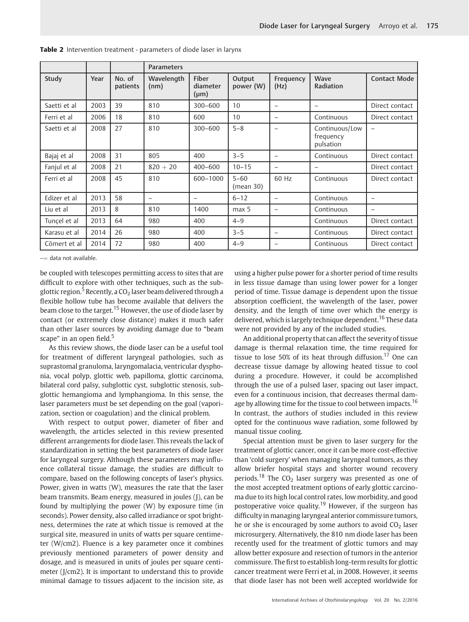|              |      |                    | <b>Parameters</b>  |                                       |                       |                          |                                          |                          |
|--------------|------|--------------------|--------------------|---------------------------------------|-----------------------|--------------------------|------------------------------------------|--------------------------|
| Study        | Year | No. of<br>patients | Wavelength<br>(nm) | <b>Fiber</b><br>diameter<br>$(\mu m)$ | Output<br>power (W)   | Frequency<br>(Hz)        | Wave<br>Radiation                        | <b>Contact Mode</b>      |
| Saetti et al | 2003 | 39                 | 810                | $300 - 600$                           | 10                    | $\overline{\phantom{0}}$ |                                          | Direct contact           |
| Ferri et al  | 2006 | 18                 | 810                | 600                                   | 10 <sup>1</sup>       | $\overline{\phantom{0}}$ | Continuous                               | Direct contact           |
| Saetti et al | 2008 | 27                 | 810                | $300 - 600$                           | $5 - 8$               | $\overline{\phantom{0}}$ | Continuous/Low<br>frequency<br>pulsation | -                        |
| Bajaj et al  | 2008 | 31                 | 805                | 400                                   | $3 - 5$               | $\overline{\phantom{0}}$ | Continuous                               | Direct contact           |
| Fanjul et al | 2008 | 21                 | $820 + 20$         | $400 - 600$                           | $10 - 15$             | $\overline{\phantom{0}}$ |                                          | Direct contact           |
| Ferri et al  | 2008 | 45                 | 810                | 600-1000                              | $5 - 60$<br>(mean 30) | 60 Hz                    | Continuous                               | Direct contact           |
| Edizer et al | 2013 | 58                 |                    |                                       | $6 - 12$              |                          | Continuous                               | $\overline{\phantom{0}}$ |
| Liu et al    | 2013 | 8                  | 810                | 1400                                  | max 5                 | $\overline{\phantom{0}}$ | Continuous                               | -                        |
| Tunçel et al | 2013 | 64                 | 980                | 400                                   | $4 - 9$               |                          | Continuous                               | Direct contact           |
| Karasu et al | 2014 | 26                 | 980                | 400                                   | $3 - 5$               | $\overline{\phantom{0}}$ | Continuous                               | Direct contact           |
| Cömert et al | 2014 | 72                 | 980                | 400                                   | $4 - 9$               | $\overline{\phantom{0}}$ | Continuous                               | Direct contact           |

Table 2 Intervention treatment - parameters of diode laser in larynx

 $=$  data not available.

be coupled with telescopes permitting access to sites that are difficult to explore with other techniques, such as the subglottic region.<sup>5</sup> Recently, a CO<sub>2</sub> laser beam delivered through a flexible hollow tube has become available that delivers the beam close to the target.<sup>15</sup> However, the use of diode laser by contact (or extremely close distance) makes it much safer than other laser sources by avoiding damage due to "beam scape" in an open field.<sup>5</sup>

As this review shows, the diode laser can be a useful tool for treatment of different laryngeal pathologies, such as suprastomal granuloma, laryngomalacia, ventricular dysphonia, vocal polyp, glottic web, papilloma, glottic carcinoma, bilateral cord palsy, subglottic cyst, subglottic stenosis, subglottic hemangioma and lymphangioma. In this sense, the laser parameters must be set depending on the goal (vaporization, section or coagulation) and the clinical problem.

With respect to output power, diameter of fiber and wavelength, the articles selected in this review presented different arrangements for diode laser. This reveals the lack of standardization in setting the best parameters of diode laser for laryngeal surgery. Although these parameters may influence collateral tissue damage, the studies are difficult to compare, based on the following concepts of laser's physics. Power, given in watts (W), measures the rate that the laser beam transmits. Beam energy, measured in joules (J), can be found by multiplying the power (W) by exposure time (in seconds). Power density, also called irradiance or spot brightness, determines the rate at which tissue is removed at the surgical site, measured in units of watts per square centimeter (W/cm2). Fluence is a key parameter once it combines previously mentioned parameters of power density and dosage, and is measured in units of joules per square centimeter (J/cm2). It is important to understand this to provide minimal damage to tissues adjacent to the incision site, as using a higher pulse power for a shorter period of time results in less tissue damage than using lower power for a longer period of time. Tissue damage is dependent upon the tissue absorption coefficient, the wavelength of the laser, power density, and the length of time over which the energy is delivered, which is largely technique dependent.<sup>16</sup> These data were not provided by any of the included studies.

An additional property that can affect the severity of tissue damage is thermal relaxation time, the time required for tissue to lose 50% of its heat through diffusion.<sup>17</sup> One can decrease tissue damage by allowing heated tissue to cool during a procedure. However, it could be accomplished through the use of a pulsed laser, spacing out laser impact, even for a continuous incision, that decreases thermal damage by allowing time for the tissue to cool between impacts.<sup>16</sup> In contrast, the authors of studies included in this review opted for the continuous wave radiation, some followed by manual tissue cooling.

Special attention must be given to laser surgery for the treatment of glottic cancer, once it can be more cost-effective than 'cold surgery' when managing laryngeal tumors, as they allow briefer hospital stays and shorter wound recovery periods.<sup>18</sup> The  $CO<sub>2</sub>$  laser surgery was presented as one of the most accepted treatment options of early glottic carcinoma due to its high local control rates, low morbidity, and good postoperative voice quality.<sup>19</sup> However, if the surgeon has difficulty in managing laryngeal anterior commissure tumors, he or she is encouraged by some authors to avoid  $CO<sub>2</sub>$  laser microsurgery. Alternatively, the 810 nm diode laser has been recently used for the treatment of glottic tumors and may allow better exposure and resection of tumors in the anterior commissure. The first to establish long-term results for glottic cancer treatment were Ferri et al, in 2008. However, it seems that diode laser has not been well accepted worldwide for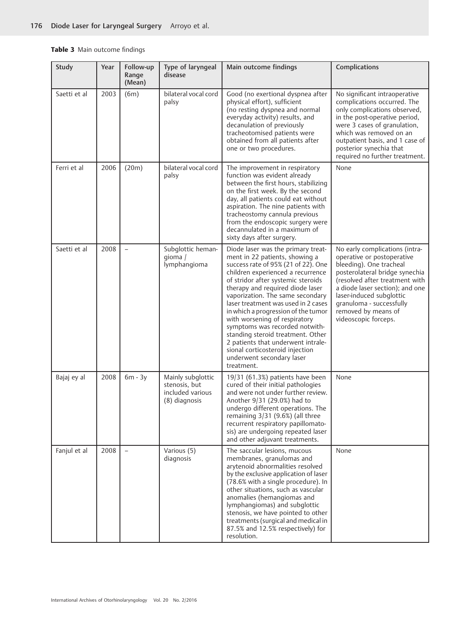Table 3 Main outcome findings

| Study        | Year | Follow-up<br>Range<br>(Mean) | Type of laryngeal<br>disease                                            | Main outcome findings                                                                                                                                                                                                                                                                                                                                                                                                                                                                                                                                                    | Complications                                                                                                                                                                                                                                                                                         |
|--------------|------|------------------------------|-------------------------------------------------------------------------|--------------------------------------------------------------------------------------------------------------------------------------------------------------------------------------------------------------------------------------------------------------------------------------------------------------------------------------------------------------------------------------------------------------------------------------------------------------------------------------------------------------------------------------------------------------------------|-------------------------------------------------------------------------------------------------------------------------------------------------------------------------------------------------------------------------------------------------------------------------------------------------------|
| Saetti et al | 2003 | (6m)                         | bilateral vocal cord<br>palsy                                           | Good (no exertional dyspnea after<br>physical effort), sufficient<br>(no resting dyspnea and normal<br>everyday activity) results, and<br>decanulation of previously<br>tracheotomised patients were<br>obtained from all patients after<br>one or two procedures.                                                                                                                                                                                                                                                                                                       | No significant intraoperative<br>complications occurred. The<br>only complications observed,<br>in the post-operative period,<br>were 3 cases of granulation,<br>which was removed on an<br>outpatient basis, and 1 case of<br>posterior synechia that<br>required no further treatment.              |
| Ferri et al  | 2006 | (20m)                        | bilateral vocal cord<br>palsy                                           | The improvement in respiratory<br>function was evident already<br>between the first hours, stabilizing<br>on the first week. By the second<br>day, all patients could eat without<br>aspiration. The nine patients with<br>tracheostomy cannula previous<br>from the endoscopic surgery were<br>decannulated in a maximum of<br>sixty days after surgery.                                                                                                                                                                                                                | None                                                                                                                                                                                                                                                                                                  |
| Saetti et al | 2008 | $\equiv$                     | Subglottic heman-<br>gioma /<br>lymphangioma                            | Diode laser was the primary treat-<br>ment in 22 patients, showing a<br>success rate of 95% (21 of 22). One<br>children experienced a recurrence<br>of stridor after systemic steroids<br>therapy and required diode laser<br>vaporization. The same secondary<br>laser treatment was used in 2 cases<br>in which a progression of the tumor<br>with worsening of respiratory<br>symptoms was recorded notwith-<br>standing steroid treatment. Other<br>2 patients that underwent intrale-<br>sional corticosteroid injection<br>underwent secondary laser<br>treatment. | No early complications (intra-<br>operative or postoperative<br>bleeding). One tracheal<br>posterolateral bridge synechia<br>(resolved after treatment with<br>a diode laser section); and one<br>laser-induced subglottic<br>granuloma - successfully<br>removed by means of<br>videoscopic forceps. |
| Bajaj ey al  | 2008 | $6m - 3y$                    | Mainly subglottic<br>stenosis, but<br>included various<br>(8) diagnosis | 19/31 (61.3%) patients have been<br>cured of their initial pathologies<br>and were not under further review.<br>Another 9/31 (29.0%) had to<br>undergo different operations. The<br>remaining 3/31 (9.6%) (all three<br>recurrent respiratory papillomato-<br>sis) are undergoing repeated laser<br>and other adjuvant treatments.                                                                                                                                                                                                                                       | None                                                                                                                                                                                                                                                                                                  |
| Fanjul et al | 2008 |                              | Various (5)<br>diagnosis                                                | The saccular lesions, mucous<br>membranes, granulomas and<br>arytenoid abnormalities resolved<br>by the exclusive application of laser<br>(78.6% with a single procedure). In<br>other situations, such as vascular<br>anomalies (hemangiomas and<br>lymphangiomas) and subglottic<br>stenosis, we have pointed to other<br>treatments (surgical and medical in<br>87.5% and 12.5% respectively) for<br>resolution.                                                                                                                                                      | None                                                                                                                                                                                                                                                                                                  |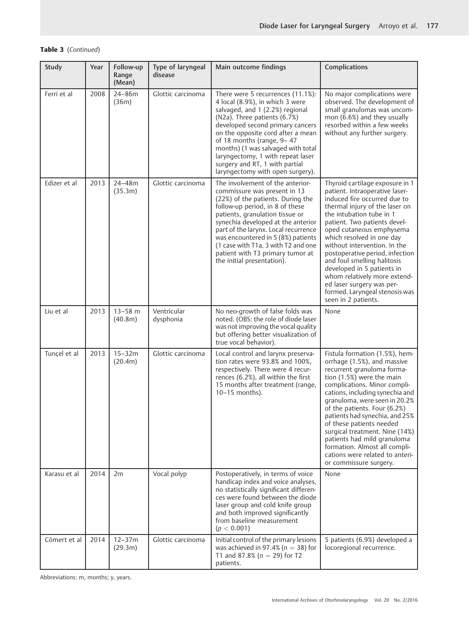#### Table 3 (Continued)

| Study        | Year | Follow-up<br>Range<br>(Mean) | Type of laryngeal<br>disease | Main outcome findings                                                                                                                                                                                                                                                                                                                                                                                    | Complications                                                                                                                                                                                                                                                                                                                                                                                                                                                                                                  |
|--------------|------|------------------------------|------------------------------|----------------------------------------------------------------------------------------------------------------------------------------------------------------------------------------------------------------------------------------------------------------------------------------------------------------------------------------------------------------------------------------------------------|----------------------------------------------------------------------------------------------------------------------------------------------------------------------------------------------------------------------------------------------------------------------------------------------------------------------------------------------------------------------------------------------------------------------------------------------------------------------------------------------------------------|
| Ferri et al  | 2008 | 24-86m<br>(36m)              | Glottic carcinoma            | There were 5 recurrences (11.1%):<br>4 local (8.9%), in which 3 were<br>salvaged, and 1 (2.2%) regional<br>(N2a). Three patients (6.7%)<br>developed second primary cancers<br>on the opposite cord after a mean<br>of 18 months (range, 9-47<br>months) (1 was salvaged with total<br>laryngectomy, 1 with repeat laser<br>surgery and RT, 1 with partial<br>laryngectomy with open surgery).           | No major complications were<br>observed. The development of<br>small granulomas was uncom-<br>mon (6.6%) and they usually<br>resorbed within a few weeks<br>without any further surgery.                                                                                                                                                                                                                                                                                                                       |
| Edizer et al | 2013 | 24-48m<br>(35.3m)            | Glottic carcinoma            | The involvement of the anterior-<br>commissure was present in 13<br>(22%) of the patients. During the<br>follow-up period, in 8 of these<br>patients, granulation tissue or<br>synechia developed at the anterior<br>part of the larynx. Local recurrence<br>was encountered in 5 (8%) patients<br>(1 case with T1a, 3 with T2 and one<br>patient with T3 primary tumor at<br>the initial presentation). | Thyroid cartilage exposure in 1<br>patient. Intraoperative laser-<br>induced fire occurred due to<br>thermal injury of the laser on<br>the intubation tube in 1<br>patient. Two patients devel-<br>oped cutaneous emphysema<br>which resolved in one day<br>without intervention. In the<br>postoperative period, infection<br>and foul smelling halitosis<br>developed in 5 patients in<br>whom relatively more extend-<br>ed laser surgery was per-<br>formed. Laryngeal stenosis was<br>seen in 2 patients. |
| Liu et al    | 2013 | $13 - 58$ m<br>(40.8m)       | Ventricular<br>dysphonia     | No neo-growth of false folds was<br>noted. (OBS: the role of diode laser<br>was not improving the vocal quality<br>but offering better visualization of<br>true vocal behavior).                                                                                                                                                                                                                         | None                                                                                                                                                                                                                                                                                                                                                                                                                                                                                                           |
| Tunçel et al | 2013 | $15 - 32m$<br>(20.4m)        | Glottic carcinoma            | Local control and larynx preserva-<br>tion rates were 93.8% and 100%,<br>respectively. There were 4 recur-<br>rences (6.2%), all within the first<br>15 months after treatment (range,<br>10-15 months).                                                                                                                                                                                                 | Fistula formation (1.5%), hem-<br>orrhage (1.5%), and massive<br>recurrent granuloma forma-<br>tion (1.5%) were the main<br>complications. Minor compli-<br>cations, including synechia and<br>granuloma, were seen in 20.2%<br>of the patients. Four (6.2%)<br>patients had synechia, and 25%<br>of these patients needed<br>surgical treatment. Nine (14%)<br>patients had mild granuloma<br>formation. Almost all compli-<br>cations were related to anteri-<br>or commissure surgery.                      |
| Karasu et al | 2014 | 2m                           | Vocal polyp                  | Postoperatively, in terms of voice<br>handicap index and voice analyses,<br>no statistically significant differen-<br>ces were found between the diode<br>laser group and cold knife group<br>and both improved significantly<br>from baseline measurement<br>(p < 0.001)                                                                                                                                | None                                                                                                                                                                                                                                                                                                                                                                                                                                                                                                           |
| Cömert et al | 2014 | $12 - 37m$<br>(29.3m)        | Glottic carcinoma            | Initial control of the primary lesions<br>was achieved in 97.4% ( $n = 38$ ) for<br>T1 and 87.8% ( $n = 29$ ) for T2<br>patients.                                                                                                                                                                                                                                                                        | 5 patients (6.9%) developed a<br>locoregional recurrence.                                                                                                                                                                                                                                                                                                                                                                                                                                                      |

Abbreviations: m, months; y, years.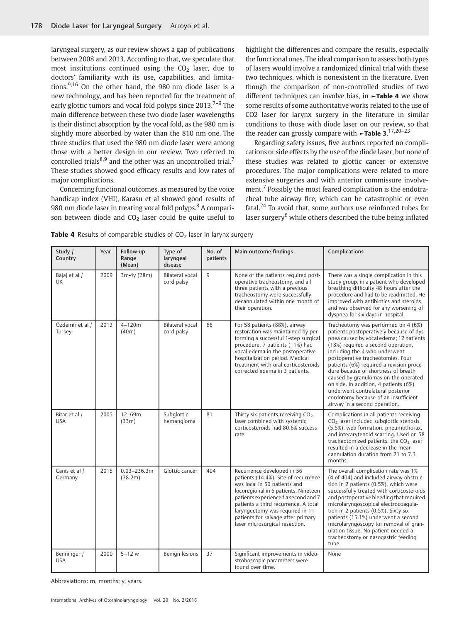laryngeal surgery, as our review shows a gap of publications between 2008 and 2013. According to that, we speculate that most institutions continued using the  $CO<sub>2</sub>$  laser, due to doctors' familiarity with its use, capabilities, and limitations. $9,16$  On the other hand, the 980 nm diode laser is a new technology, and has been reported for the treatment of early glottic tumors and vocal fold polyps since  $2013^{7-9}$  The main difference between these two diode laser wavelengths is their distinct absorption by the vocal fold, as the 980 nm is slightly more absorbed by water than the 810 nm one. The three studies that used the 980 nm diode laser were among those with a better design in our review. Two referred to controlled trials<sup>8,9</sup> and the other was an uncontrolled trial.<sup>7</sup> These studies showed good efficacy results and low rates of major complications.

Concerning functional outcomes, as measured by the voice handicap index (VHI), Karasu et al showed good results of 980 nm diode laser in treating vocal fold polyps.<sup>8</sup> A comparison between diode and  $CO<sub>2</sub>$  laser could be quite useful to

highlight the differences and compare the results, especially the functional ones. The ideal comparison to assess both types of lasers would involve a randomized clinical trial with these two techniques, which is nonexistent in the literature. Even though the comparison of non-controlled studies of two different techniques can involve bias, in ►Table 4 we show some results of some authoritative works related to the use of CO2 laser for larynx surgery in the literature in similar conditions to those with diode laser on our review, so that the reader can grossly compare with  $\blacktriangleright$ Table 3.<sup>17,20–23</sup>

Regarding safety issues, five authors reported no complications or side effects by the use of the diode laser, but none of these studies was related to glottic cancer or extensive procedures. The major complications were related to more extensive surgeries and with anterior commissure involvement.<sup>7</sup> Possibly the most feared complication is the endotracheal tube airway fire, which can be catastrophic or even fatal.<sup>24</sup> To avoid that, some authors use reinforced tubes for laser surgery<sup>6</sup> while others described the tube being inflated

| Table 4 Results of comparable studies of CO <sub>2</sub> laser in larynx surgery |  |
|----------------------------------------------------------------------------------|--|
|----------------------------------------------------------------------------------|--|

| Study /<br>Country          | Year | Follow-up<br>Range<br>(Mean) | Type of<br>laryngeal<br>disease      | No. of<br>patients | Main outcome findings                                                                                                                                                                                                                                                                                                                | Complications                                                                                                                                                                                                                                                                                                                                                                                                                                                                                                             |
|-----------------------------|------|------------------------------|--------------------------------------|--------------------|--------------------------------------------------------------------------------------------------------------------------------------------------------------------------------------------------------------------------------------------------------------------------------------------------------------------------------------|---------------------------------------------------------------------------------------------------------------------------------------------------------------------------------------------------------------------------------------------------------------------------------------------------------------------------------------------------------------------------------------------------------------------------------------------------------------------------------------------------------------------------|
| Bajaj et al /<br>UK         | 2009 | 3m-4y (28m)                  | <b>Bilateral vocal</b><br>cord palsy | $\mathsf{q}$       | None of the patients required post-<br>operative tracheostomy, and all<br>three patients with a previous<br>tracheostomy were successfully<br>decannulated within one month of<br>their operation.                                                                                                                                   | There was a single complication in this<br>study group, in a patient who developed<br>breathing difficulty 48 hours after the<br>procedure and had to be readmitted. He<br>improved with antibiotics and steroids,<br>and was observed for any worsening of<br>dyspnea for six days in hospital.                                                                                                                                                                                                                          |
| Özdemir et al /<br>Turkey   | 2013 | $4 - 120m$<br>(40m)          | Bilateral vocal<br>cord palsy        | 66                 | For 58 patients (88%), airway<br>restoration was maintained by per-<br>forming a successful 1-step surgical<br>procedure, 7 patients (11%) had<br>vocal edema in the postoperative<br>hospitalization period. Medical<br>treatment with oral corticosteroids<br>corrected edema in 3 patients.                                       | Tracheotomy was performed on 4 (6%)<br>patients postoperatively because of dys-<br>pnea caused by vocal edema; 12 patients<br>(18%) required a second operation,<br>including the 4 who underwent<br>postoperative tracheotomies. Four<br>patients (6%) required a revision proce-<br>dure because of shortness of breath<br>caused by granulomas on the operated-<br>on side. In addition, 4 patients (6%)<br>underwent contralateral posterior<br>cordotomy because of an insufficient<br>airway in a second operation. |
| Bitar et al /<br><b>USA</b> | 2005 | $12 - 69m$<br>(33m)          | Subglottic<br>hemangioma             | 81                 | Thirty-six patients receiving CO <sub>2</sub><br>laser combined with systemic<br>corticosteroids had 80.6% success<br>rate.                                                                                                                                                                                                          | Complications in all patients receiving<br>CO <sub>2</sub> laser included subglottic stenosis<br>(5.5%), web formation, pneumothorax,<br>and interarytenoid scarring. Used on 58<br>tracheotomized patients, the CO <sub>2</sub> laser<br>resulted in a decrease in the mean<br>cannulation duration from 21 to 7.3<br>months.                                                                                                                                                                                            |
| Canis et al /<br>Germany    | 2015 | $0.03 - 236.3m$<br>(78.2m)   | Glottic cancer                       | 404                | Recurrence developed in 56<br>patients (14.4%). Site of recurrence<br>was local in 50 patients and<br>locoregional in 6 patients. Nineteen<br>patients experienced a second and 7<br>patients a third recurrence. A total<br>laryngectomy was required in 11<br>patients for salvage after primary<br>laser microsurgical resection. | The overall complication rate was 1%<br>(4 of 404) and included airway obstruc-<br>tion in 2 patients (0.5%), which were<br>successfully treated with corticosteroids<br>and postoperative bleeding that required<br>microlaryngoscopical electrocoagula-<br>tion in 2 patients (0.5%). Sixty-six<br>patients (15.1%) underwent a second<br>microlaryngoscopy for removal of gran-<br>ulation tissue. No patient needed a<br>tracheostomy or nasogastric feeding<br>tube.                                                 |
| Benninger /<br><b>USA</b>   | 2000 | $5 - 12 w$                   | Benign lesions                       | 37                 | Significant improvements in video-<br>stroboscopic parameters were<br>found over time.                                                                                                                                                                                                                                               | None                                                                                                                                                                                                                                                                                                                                                                                                                                                                                                                      |

Abbreviations: m, months; y, years.